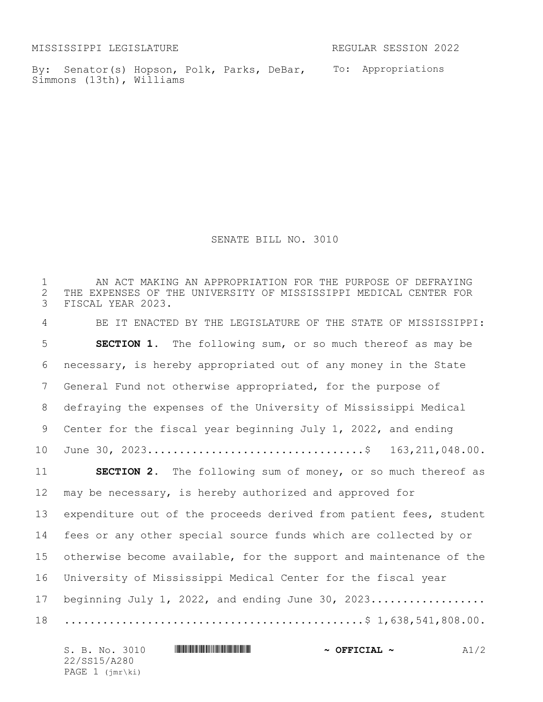MISSISSIPPI LEGISLATURE REGULAR SESSION 2022

By: Senator(s) Hopson, Polk, Parks, DeBar, To: Appropriations Simmons (13th), Williams

SENATE BILL NO. 3010

 AN ACT MAKING AN APPROPRIATION FOR THE PURPOSE OF DEFRAYING 2 THE EXPENSES OF THE UNIVERSITY OF MISSISSIPPI MEDICAL CENTER FOR<br>3 FISCAL YEAR 2023. FISCAL YEAR 2023. BE IT ENACTED BY THE LEGISLATURE OF THE STATE OF MISSISSIPPI: **SECTION 1.** The following sum, or so much thereof as may be necessary, is hereby appropriated out of any money in the State General Fund not otherwise appropriated, for the purpose of defraying the expenses of the University of Mississippi Medical Center for the fiscal year beginning July 1, 2022, and ending June 30, 2023..................................\$ 163,211,048.00. **SECTION 2.** The following sum of money, or so much thereof as may be necessary, is hereby authorized and approved for expenditure out of the proceeds derived from patient fees, student fees or any other special source funds which are collected by or otherwise become available, for the support and maintenance of the University of Mississippi Medical Center for the fiscal year 17 beginning July 1, 2022, and ending June 30, 2023.................. ...............................................\$ 1,638,541,808.00.

| S. B. No. 3010    | $\sim$ OFFICIAL $\sim$ | A1/2 |
|-------------------|------------------------|------|
| 22/SS15/A280      |                        |      |
| PAGE $1$ (jmr\ki) |                        |      |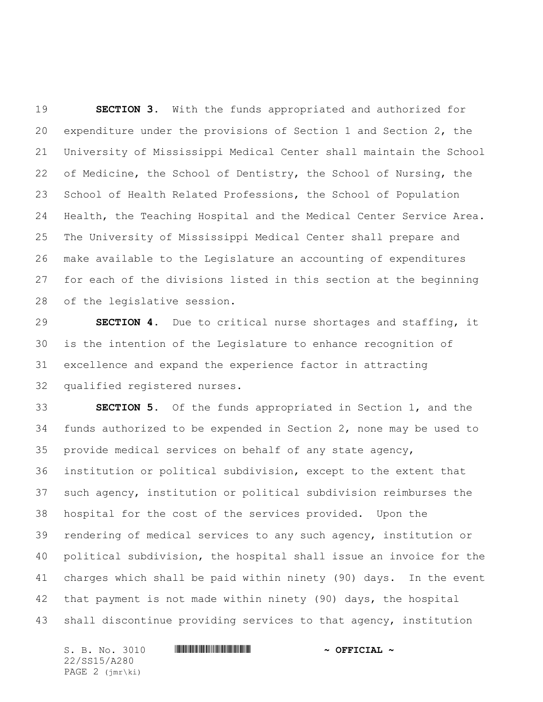**SECTION 3.** With the funds appropriated and authorized for expenditure under the provisions of Section 1 and Section 2, the University of Mississippi Medical Center shall maintain the School of Medicine, the School of Dentistry, the School of Nursing, the School of Health Related Professions, the School of Population Health, the Teaching Hospital and the Medical Center Service Area. The University of Mississippi Medical Center shall prepare and make available to the Legislature an accounting of expenditures for each of the divisions listed in this section at the beginning of the legislative session.

 **SECTION 4.** Due to critical nurse shortages and staffing, it is the intention of the Legislature to enhance recognition of excellence and expand the experience factor in attracting qualified registered nurses.

 **SECTION 5.** Of the funds appropriated in Section 1, and the funds authorized to be expended in Section 2, none may be used to provide medical services on behalf of any state agency, institution or political subdivision, except to the extent that such agency, institution or political subdivision reimburses the hospital for the cost of the services provided. Upon the rendering of medical services to any such agency, institution or political subdivision, the hospital shall issue an invoice for the charges which shall be paid within ninety (90) days. In the event that payment is not made within ninety (90) days, the hospital shall discontinue providing services to that agency, institution

S. B. No. 3010 \*SS15/A280\* **~ OFFICIAL ~** 22/SS15/A280 PAGE 2 (jmr\ki)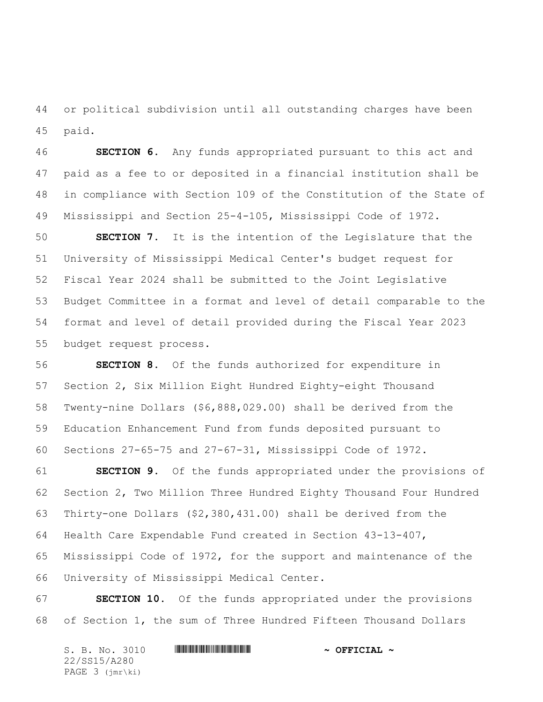or political subdivision until all outstanding charges have been paid.

 **SECTION 6.** Any funds appropriated pursuant to this act and paid as a fee to or deposited in a financial institution shall be in compliance with Section 109 of the Constitution of the State of Mississippi and Section 25-4-105, Mississippi Code of 1972.

 **SECTION 7.** It is the intention of the Legislature that the University of Mississippi Medical Center's budget request for Fiscal Year 2024 shall be submitted to the Joint Legislative Budget Committee in a format and level of detail comparable to the format and level of detail provided during the Fiscal Year 2023 budget request process.

 **SECTION 8.** Of the funds authorized for expenditure in Section 2, Six Million Eight Hundred Eighty-eight Thousand Twenty-nine Dollars (\$6,888,029.00) shall be derived from the Education Enhancement Fund from funds deposited pursuant to Sections 27-65-75 and 27-67-31, Mississippi Code of 1972.

 **SECTION 9.** Of the funds appropriated under the provisions of Section 2, Two Million Three Hundred Eighty Thousand Four Hundred Thirty-one Dollars (\$2,380,431.00) shall be derived from the Health Care Expendable Fund created in Section 43-13-407, Mississippi Code of 1972, for the support and maintenance of the University of Mississippi Medical Center.

 **SECTION 10.** Of the funds appropriated under the provisions of Section 1, the sum of Three Hundred Fifteen Thousand Dollars

 $S.$  B. No. 3010 **\*\*\* A280\* A280\* A280\* A280\* A280\* A280\* A280\* A280\* A280\* A280\* A280\* A280\* A280\* A280\* A280\* A280\* A280\* A280\* A280\* A280\* A280\* A280\* A280\* A280\* A280\* A280\* A280\* A280\* A280\* A280\* A280\* A280\* A280\* A** 22/SS15/A280 PAGE 3 (jmr\ki)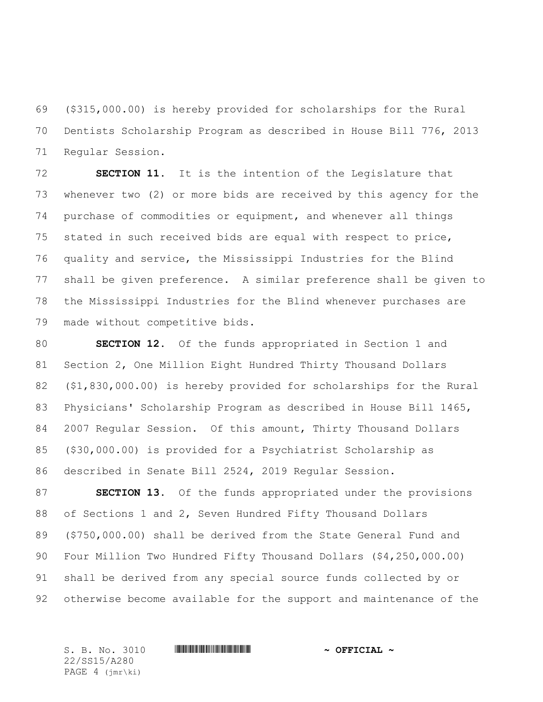(\$315,000.00) is hereby provided for scholarships for the Rural Dentists Scholarship Program as described in House Bill 776, 2013 Regular Session.

 **SECTION 11.** It is the intention of the Legislature that whenever two (2) or more bids are received by this agency for the purchase of commodities or equipment, and whenever all things stated in such received bids are equal with respect to price, quality and service, the Mississippi Industries for the Blind shall be given preference. A similar preference shall be given to the Mississippi Industries for the Blind whenever purchases are made without competitive bids.

 **SECTION 12.** Of the funds appropriated in Section 1 and Section 2, One Million Eight Hundred Thirty Thousand Dollars (\$1,830,000.00) is hereby provided for scholarships for the Rural Physicians' Scholarship Program as described in House Bill 1465, 2007 Regular Session. Of this amount, Thirty Thousand Dollars (\$30,000.00) is provided for a Psychiatrist Scholarship as described in Senate Bill 2524, 2019 Regular Session.

 **SECTION 13.** Of the funds appropriated under the provisions of Sections 1 and 2, Seven Hundred Fifty Thousand Dollars (\$750,000.00) shall be derived from the State General Fund and Four Million Two Hundred Fifty Thousand Dollars (\$4,250,000.00) shall be derived from any special source funds collected by or otherwise become available for the support and maintenance of the

22/SS15/A280 PAGE 4 (jmr\ki)

 $S.$  B. No. 3010 **\*\*\* A280\* A280\* A280\* A280\* A280\* A280\* A280\* A280\* A280\* A280\* A280\* A280\* A280\* A280\* A280\* A280\* A280\* A280\* A280\* A280\* A280\* A280\* A280\* A280\* A280\* A280\* A280\* A280\* A280\* A280\* A280\* A280\* A280\* A**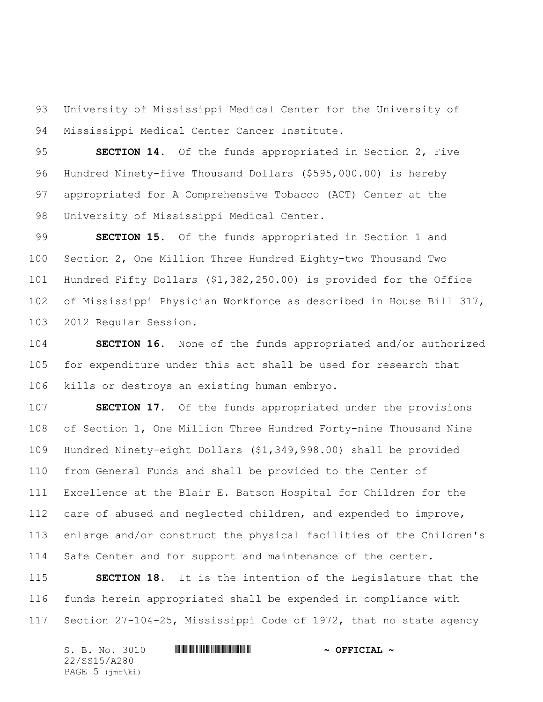University of Mississippi Medical Center for the University of Mississippi Medical Center Cancer Institute.

 **SECTION 14.** Of the funds appropriated in Section 2, Five Hundred Ninety-five Thousand Dollars (\$595,000.00) is hereby appropriated for A Comprehensive Tobacco (ACT) Center at the University of Mississippi Medical Center.

 **SECTION 15.** Of the funds appropriated in Section 1 and Section 2, One Million Three Hundred Eighty-two Thousand Two Hundred Fifty Dollars (\$1,382,250.00) is provided for the Office of Mississippi Physician Workforce as described in House Bill 317, 2012 Regular Session.

 **SECTION 16.** None of the funds appropriated and/or authorized for expenditure under this act shall be used for research that kills or destroys an existing human embryo.

 **SECTION 17.** Of the funds appropriated under the provisions of Section 1, One Million Three Hundred Forty-nine Thousand Nine Hundred Ninety-eight Dollars (\$1,349,998.00) shall be provided from General Funds and shall be provided to the Center of Excellence at the Blair E. Batson Hospital for Children for the care of abused and neglected children, and expended to improve, enlarge and/or construct the physical facilities of the Children's 114 Safe Center and for support and maintenance of the center.

 **SECTION 18.** It is the intention of the Legislature that the funds herein appropriated shall be expended in compliance with Section 27-104-25, Mississippi Code of 1972, that no state agency

| S. B. No. 3010               | $\sim$ OFFICIAL $\sim$ |
|------------------------------|------------------------|
| 22/SS15/A280                 |                        |
| PAGE $5$ ( $\text{imr}\$ ki) |                        |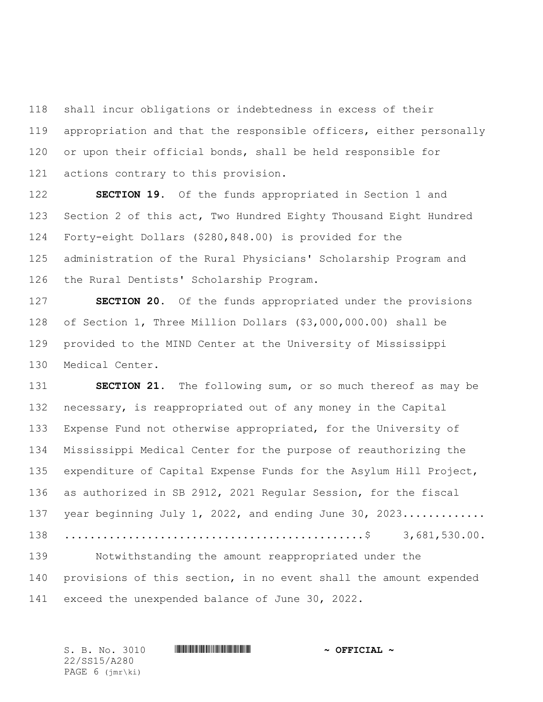shall incur obligations or indebtedness in excess of their appropriation and that the responsible officers, either personally or upon their official bonds, shall be held responsible for actions contrary to this provision.

 **SECTION 19.** Of the funds appropriated in Section 1 and Section 2 of this act, Two Hundred Eighty Thousand Eight Hundred Forty-eight Dollars (\$280,848.00) is provided for the administration of the Rural Physicians' Scholarship Program and the Rural Dentists' Scholarship Program.

 **SECTION 20.** Of the funds appropriated under the provisions of Section 1, Three Million Dollars (\$3,000,000.00) shall be provided to the MIND Center at the University of Mississippi Medical Center.

 **SECTION 21.** The following sum, or so much thereof as may be necessary, is reappropriated out of any money in the Capital Expense Fund not otherwise appropriated, for the University of Mississippi Medical Center for the purpose of reauthorizing the expenditure of Capital Expense Funds for the Asylum Hill Project, as authorized in SB 2912, 2021 Regular Session, for the fiscal 137 year beginning July 1, 2022, and ending June 30, 2023............. ...............................................\$ 3,681,530.00. Notwithstanding the amount reappropriated under the provisions of this section, in no event shall the amount expended exceed the unexpended balance of June 30, 2022.

 $S.$  B. No. 3010 **\*\*\* A280\* A280\* A280\* A280\* A280\* A280\* A280\* A280\* A280\* A280\* A280\* A280\* A280\* A280\* A280\* A280\* A280\* A280\* A280\* A280\* A280\* A280\* A280\* A280\* A280\* A280\* A280\* A280\* A280\* A280\* A280\* A280\* A280\* A** 22/SS15/A280 PAGE 6 (jmr\ki)